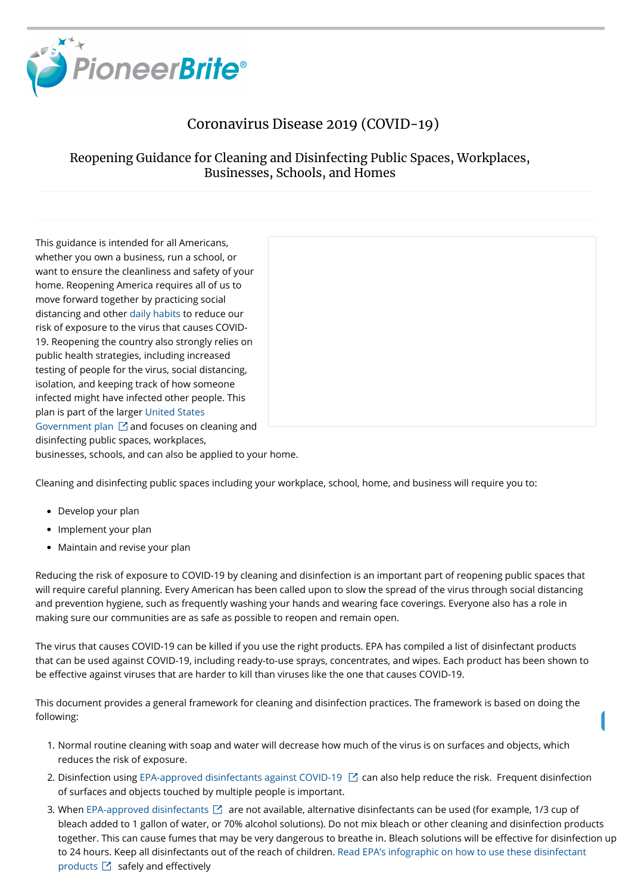

#### Coronavirus Disease 2019 (COVID-19)

#### Reopening Guidance for Cleaning and Disinfecting Public Spaces, Workplaces, Businesses, Schools, and Homes

This guidance is intended for all Americans, whether you own a business, run a school, or want to ensure the cleanliness and safety of your home. Reopening America requires all of us to move forward together by practicing social distancing and other [daily habits](https://www.cdc.gov/coronavirus/2019-ncov/prevent-getting-sick/prevention.html) to reduce our risk of exposure to the virus that causes COVID-19. Reopening the country also strongly relies on public health strategies, including increased testing of people for the virus, social distancing, isolation, and keeping track of how someone infected might have infected other people. This plan is part of the larger United States Government plan  $\boxdot$  and focuses on cleaning and disinfecting public spaces, workplaces, businesses, schools, and can also be applied to your home.



The virus that causes COVID-19 can be killed if you use the right products. EPA has compiled a list of disinfectant products that can be used against COVID-19, including ready-to-use sprays, concentrates, and wipes. Each product has been shown to be effective against viruses that are harder to kill than viruses like the one that causes COVID-19.

Cleaning and disinfecting public spaces including your workplace, school, home, and business will require you to:

- Develop your plan
- Implement your plan
- Maintain and revise your plan

- 1. Normal routine cleaning with soap and water will decrease how much of the virus is on surfaces and objects, which reduces the risk of exposure.
- 2. Disinfection using [EPA-approved disinfectants against COVID-19](https://www.epa.gov/pesticide-registration/list-n-disinfectants-use-against-sars-cov-2)  $\boxtimes$  can also help reduce the risk. Frequent disinfection of surfaces and objects touched by multiple people is important.
- 3. When [EPA-approved disinfectants](https://www.epa.gov/pesticide-registration/list-n-disinfectants-use-against-sars-cov-2)  $\boxtimes$  are not available, alternative disinfectants can be used (for example, 1/3 cup of bleach added to 1 gallon of water, or 70% alcohol solutions). Do not mix bleach or other cleaning and disinfection products together. This can cause fumes that may be very dangerous to breathe in. Bleach solutions will be effective for disinfection up [to 24 hours. Keep all disinfectants out of the reach of children. Read EPA's infographic on how to use these disinfecta](https://www.epa.gov/pesticide-registration/six-steps-safe-effective-disinfectant-use)nt products  $\boxtimes$  safely and effectively

Reducing the risk of exposure to COVID-19 by cleaning and disinfection is an important part of reopening public spaces that will require careful planning. Every American has been called upon to slow the spread of the virus through social distancing and prevention hygiene, such as frequently washing your hands and wearing face coverings. Everyone also has a role in making sure our communities are as safe as possible to reopen and remain open.

This document provides a general framework for cleaning and disinfection practices. The framework is based on doing the following: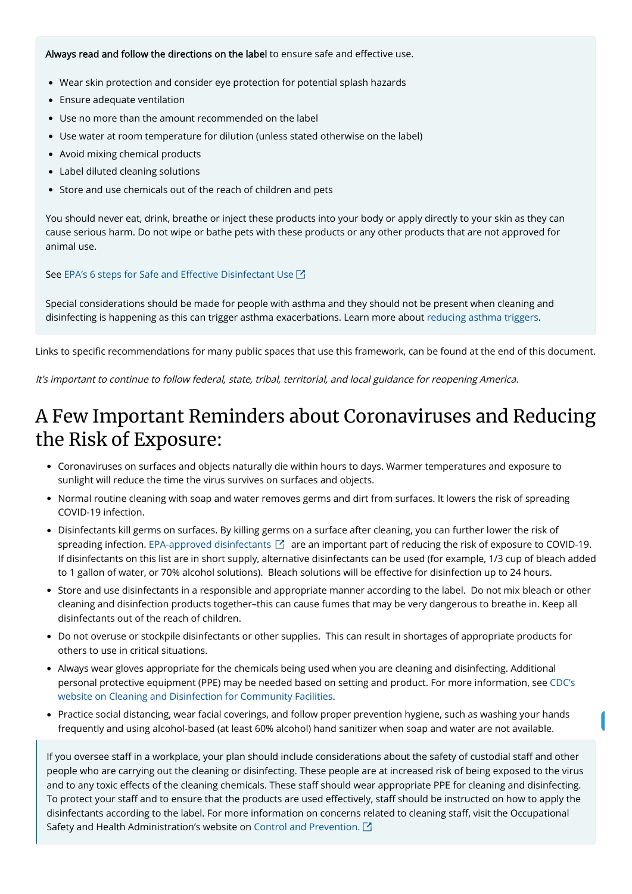It's important to continue to follow federal, state, tribal, territorial, and local guidance for reopening America.

### A Few Important Reminders about Coronaviruses and Reducing the Risk of Exposure:

- Coronaviruses on surfaces and objects naturally die within hours to days. Warmer temperatures and exposure to sunlight will reduce the time the virus survives on surfaces and objects.
- Normal routine cleaning with soap and water removes germs and dirt from surfaces. It lowers the risk of spreading COVID-19 infection.
- Disinfectants kill germs on surfaces. By killing germs on a surface after cleaning, you can further lower the risk of spreading infection. [EPA-approved disinfectants](https://www.epa.gov/pesticide-registration/list-n-disinfectants-use-against-sars-cov-2)  $\boxdot$  are an important part of reducing the risk of exposure to COVID-19. If disinfectants on this list are in short supply, alternative disinfectants can be used (for example, 1/3 cup of bleach added to 1 gallon of water, or 70% alcohol solutions). Bleach solutions will be effective for disinfection up to 24 hours.
- Store and use disinfectants in a responsible and appropriate manner according to the label. Do not mix bleach or other cleaning and disinfection products together–this can cause fumes that may be very dangerous to breathe in. Keep all disinfectants out of the reach of children.
- Do not overuse or stockpile disinfectants or other supplies. This can result in shortages of appropriate products for others to use in critical situations.
- Always wear gloves appropriate for the chemicals being used when you are cleaning and disinfecting. Additional

[personal protective equipment \(PPE\) may be needed based on setting and product. For more information, see CDC's](https://www.cdc.gov/coronavirus/2019-ncov/community/organizations/cleaning-disinfection.html) website on Cleaning and Disinfection for Community Facilities.

Practice social distancing, wear facial coverings, and follow proper prevention hygiene, such as washing your hands frequently and using alcohol-based (at least 60% alcohol) hand sanitizer when soap and water are not available.

If you oversee staff in a workplace, your plan should include considerations about the safety of custodial staff and other people who are carrying out the cleaning or disinfecting. These people are at increased risk of being exposed to the virus and to any toxic effects of the cleaning chemicals. These staff should wear appropriate PPE for cleaning and disinfecting. To protect your staff and to ensure that the products are used effectively, staff should be instructed on how to apply the disinfectants according to the label. For more information on concerns related to cleaning staff, visit the Occupational Safety and Health Administration's website on [Control and Prevention.](https://www.osha.gov/SLTC/covid-19/controlprevention.html)  $\square$ 

Always read and follow the directions on the label to ensure safe and effective use.

- Wear skin protection and consider eye protection for potential splash hazards
- Ensure adequate ventilation
- Use no more than the amount recommended on the label
- Use water at room temperature for dilution (unless stated otherwise on the label)
- Avoid mixing chemical products
- Label diluted cleaning solutions
- Store and use chemicals out of the reach of children and pets

You should never eat, drink, breathe or inject these products into your body or apply directly to your skin as they can cause serious harm. Do not wipe or bathe pets with these products or any other products that are not approved for animal use.

#### See EPA's 6 steps for Safe and Effective Disinfectant Use  $\boxtimes$

Special considerations should be made for people with asthma and they should not be present when cleaning and disinfecting is happening as this can trigger asthma exacerbations. Learn more about [reducing asthma triggers](https://www.cdc.gov/asthma/reduce_triggers.html).

Links to specific recommendations for many public spaces that use this framework, can be found at the end of this document.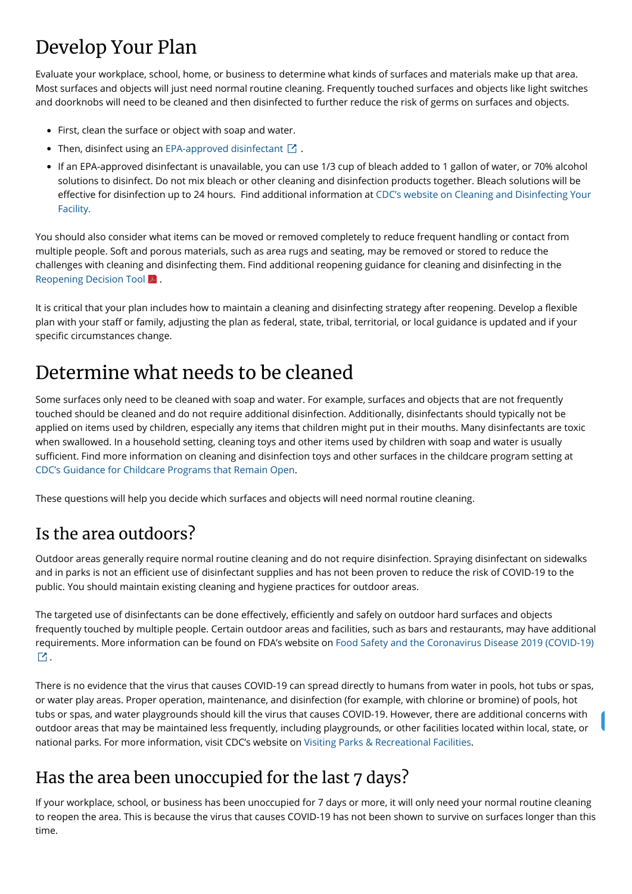# Develop Your Plan

Evaluate your workplace, school, home, or business to determine what kinds of surfaces and materials make up that area. Most surfaces and objects will just need normal routine cleaning. Frequently touched surfaces and objects like light switches and doorknobs will need to be cleaned and then disinfected to further reduce the risk of germs on surfaces and objects.

- First, clean the surface or object with soap and water.
- Then, disinfect using an [EPA-approved disinfectant](https://www.epa.gov/pesticide-registration/list-n-disinfectants-use-against-sars-cov-2)  $\boxtimes$  .
- If an EPA-approved disinfectant is unavailable, you can use 1/3 cup of bleach added to 1 gallon of water, or 70% alcohol solutions to disinfect. Do not mix bleach or other cleaning and disinfection products together. Bleach solutions will be effective for disinfection up to 24 hours. Find additional information at CDC's website on Cleaning and Disinfecting Your Facility.

You should also consider what items can be moved or removed completely to reduce frequent handling or contact from multiple people. Soft and porous materials, such as area rugs and seating, may be removed or stored to reduce the challenges with cleaning and disinfecting them. Find additional reopening guidance for cleaning and disinfecting in the [Reopening Decision Tool](https://www.cdc.gov/coronavirus/2019-ncov/community/pdf/ReOpening_America_Cleaning_Disinfection_Decision_Tool.pdf) A.

It is critical that your plan includes how to maintain a cleaning and disinfecting strategy after reopening. Develop a flexible plan with your staff or family, adjusting the plan as federal, state, tribal, territorial, or local guidance is updated and if your specific circumstances change.

The targeted use of disinfectants can be done effectively, efficiently and safely on outdoor hard surfaces and objects frequently touched by multiple people. Certain outdoor areas and facilities, such as bars and restaurants, may have additional [requirements. More information can be found on FDA's website on Food Safety and the Coronavirus Disease 2019 \(COVID-19\)](https://www.fda.gov/food/food-safety-during-emergencies/food-safety-and-coronavirus-disease-2019-covid-19)

## Determine what needs to be cleaned

Some surfaces only need to be cleaned with soap and water. For example, surfaces and objects that are not frequently touched should be cleaned and do not require additional disinfection. Additionally, disinfectants should typically not be applied on items used by children, especially any items that children might put in their mouths. Many disinfectants are toxic when swallowed. In a household setting, cleaning toys and other items used by children with soap and water is usually sufficient. Find more information on cleaning and disinfection toys and other surfaces in the childcare program setting at [CDC's Guidance for Childcare Programs that Remain Open.](https://www.cdc.gov/coronavirus/2019-ncov/community/schools-childcare/guidance-for-childcare.html)

These questions will help you decide which surfaces and objects will need normal routine cleaning.

### Is the area outdoors?

Outdoor areas generally require normal routine cleaning and do not require disinfection. Spraying disinfectant on sidewalks and in parks is not an efficient use of disinfectant supplies and has not been proven to reduce the risk of COVID-19 to the public. You should maintain existing cleaning and hygiene practices for outdoor areas.

There is no evidence that the virus that causes COVID-19 can spread directly to humans from water in pools, hot tubs or spas, or water play areas. Proper operation, maintenance, and disinfection (for example, with chlorine or bromine) of pools, hot tubs or spas, and water playgrounds should kill the virus that causes COVID-19. However, there are additional concerns with outdoor areas that may be maintained less frequently, including playgrounds, or other facilities located within local, state, or national parks. For more information, visit CDC's website on [Visiting Parks & Recreational Facilities](https://www.cdc.gov/coronavirus/2019-ncov/daily-life-coping/visitors.html?CDC_AA_refVal=https%3A%2F%2Fwww.cdc.gov%2Fcoronavirus%2F2019-ncov%2Fcommunity%2Fparks-rec%2Fvisitors.html).

### Has the area been unoccupied for the last 7 days?

If your workplace, school, or business has been unoccupied for 7 days or more, it will only need your normal routine cleaning to reopen the area. This is because the virus that causes COVID-19 has not been shown to survive on surfaces longer than this time.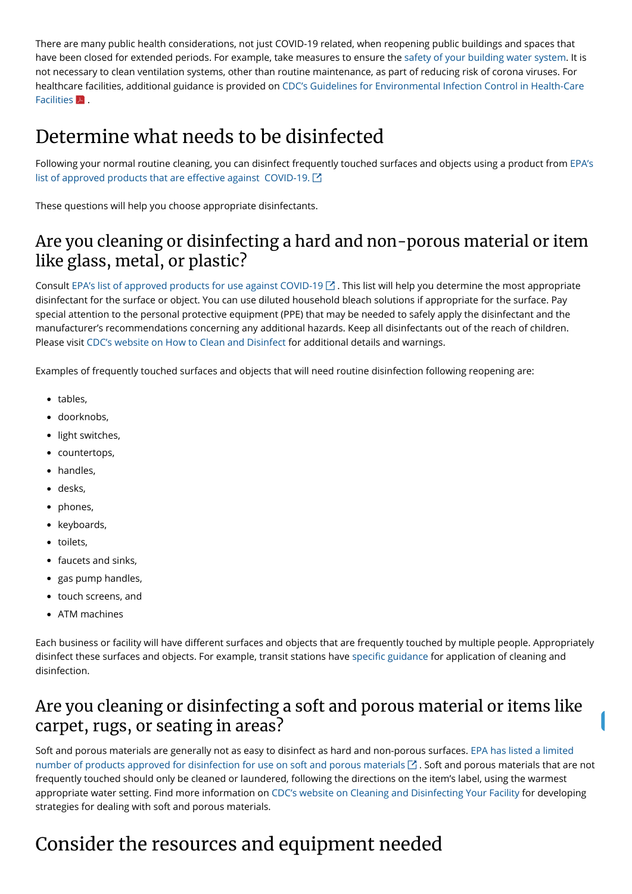[Following your normal routine cleaning, you can disinfect frequently touched surfaces and objects using a product from EPA's](https://www.epa.gov/pesticide-registration/list-n-disinfectants-use-against-sars-cov-2) list of approved products that are effective against  $\mathsf{COVID}\text{-}19$ .  $\boxtimes$ 

There are many public health considerations, not just COVID-19 related, when reopening public buildings and spaces that have been closed for extended periods. For example, take measures to ensure the [safety of your building water system](https://www.cdc.gov/coronavirus/2019-ncov/php/building-water-system.html). It is not necessary to clean ventilation systems, other than routine maintenance, as part of reducing risk of corona viruses. For [healthcare facilities, additional guidance is provided on CDC's Guidelines for Environmental Infection Control in Health-Care](https://www.cdc.gov/infectioncontrol/pdf/guidelines/environmental-guidelines-P.pdf) Facilities  $\blacktriangleright$  .

## Determine what needs to be disinfected

Consult [EPA's list of approved products for use against COVID-19](https://www.epa.gov/pesticide-registration/list-n-disinfectants-use-against-sars-cov-2)  $\boxtimes$  . This list will help you determine the most appropriate disinfectant for the surface or object. You can use diluted household bleach solutions if appropriate for the surface. Pay special attention to the personal protective equipment (PPE) that may be needed to safely apply the disinfectant and the manufacturer's recommendations concerning any additional hazards. Keep all disinfectants out of the reach of children. Please visit [CDC's website on How to Clean and](https://www.cdc.gov/coronavirus/2019-ncov/community/organizations/cleaning-disinfection.html) [Disinfect](https://www.cdc.gov/coronavirus/2019-ncov/community/organizations/cleaning-disinfection.html) for additional details and warnings.

These questions will help you choose appropriate disinfectants.

### Are you cleaning or disinfecting a hard and non-porous material or item like glass, metal, or plastic?

Each business or facility will have different surfaces and objects that are frequently touched by multiple people. Appropriately disinfect these surfaces and objects. For example, transit stations have specific guidance for application of cleaning and disinfection.

Examples of frequently touched surfaces and objects that will need routine disinfection following reopening are:

- tables,
- doorknobs.
- light switches,
- countertops,
- handles,
- desks,
- phones,
- keyboards,
- toilets,
- faucets and sinks,
- gas pump handles,
- touch screens, and
- ATM machines

#### Are you cleaning or disinfecting a soft and porous material or items like carpet, rugs, or seating in areas?

[Soft and porous materials are generally not as easy to disinfect as hard and non-porous surfaces. EPA has listed a limited](http://www.epa.gov/pesticide-registration/list-n-disinfectants-use-against-sars-cov-2) number of products approved for disinfection for use on soft and porous materials  $\boxtimes$  . Soft and porous materials that are not frequently touched should only be cleaned or laundered, following the directions on the item's label, using the warmest appropriate water setting. Find more information on [CDC's website on Cleaning and Disinfecting Your Facility f](https://www.cdc.gov/coronavirus/2019-ncov/community/disinfecting-building-facility.html)or developing strategies for dealing with soft and porous materials.

## Consider the resources and equipment needed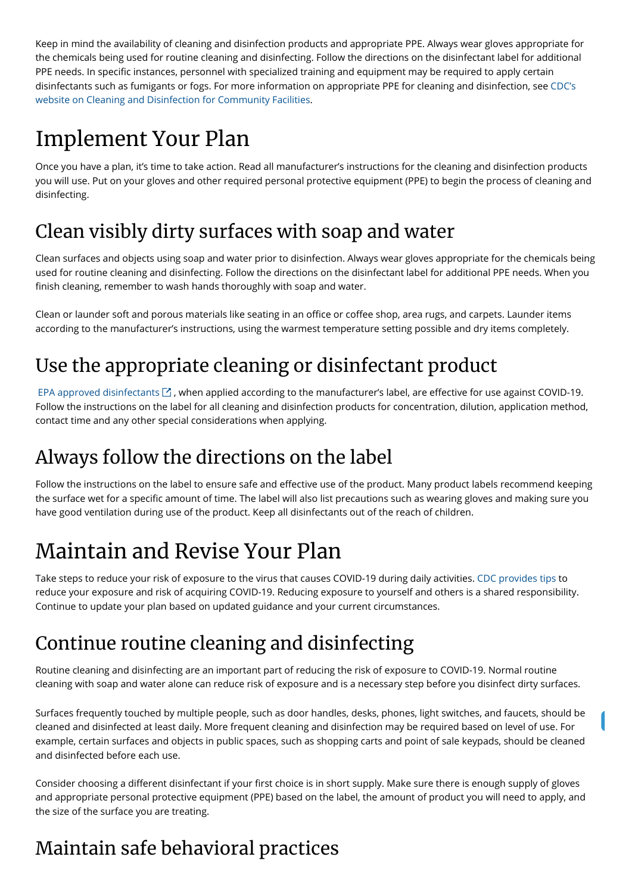Keep in mind the availability of cleaning and disinfection products and appropriate PPE. Always wear gloves appropriate for the chemicals being used for routine cleaning and disinfecting. Follow the directions on the disinfectant label for additional PPE needs. In specific instances, personnel with specialized training and equipment may be required to apply certain [disinfectants such as fumigants or fogs. For more information on appropriate PPE for cleaning and disinfection, see CDC's](https://www.cdc.gov/coronavirus/2019-ncov/community/organizations/cleaning-disinfection.html) website on Cleaning and Disinfection for Community Facilities.

Clean surfaces and objects using soap and water prior to disinfection. Always wear gloves appropriate for the chemicals being used for routine cleaning and disinfecting. Follow the directions on the disinfectant label for additional PPE needs. When you finish cleaning, remember to wash hands thoroughly with soap and water.

# Implement Your Plan

Once you have a plan, it's time to take action. Read all manufacturer's instructions for the cleaning and disinfection products you will use. Put on your gloves and other required personal protective equipment (PPE) to begin the process of cleaning and disinfecting.

Clean or launder soft and porous materials like seating in an office or coffee shop, area rugs, and carpets. Launder items according to the manufacturer's instructions, using the warmest temperature setting possible and dry items completely.

## Clean visibly dirty surfaces with soap and water

EPA approved disinfectants  $\boxtimes$ , when applied according to the manufacturer's label, are effective for use against COVID-19. Follow the instructions on the label for all cleaning and disinfection products for concentration, dilution, application method, contact time and any other special considerations when applying.

Follow the instructions on the label to ensure safe and effective use of the product. Many product labels recommend keeping the surface wet for a specific amount of time. The label will also list precautions such as wearing gloves and making sure you have good ventilation during use of the product. Keep all disinfectants out of the reach of children.

## Use the appropriate cleaning or disinfectant product

Consider choosing a different disinfectant if your first choice is in short supply. Make sure there is enough supply of gloves and appropriate personal protective equipment (PPE) based on the label, the amount of product you will need to apply, and the size of the surface you are treating.

## Always follow the directions on the label

# Maintain and Revise Your Plan

Take steps to reduce your risk of exposure to the virus that causes COVID-19 during daily activities. [CDC provides tips](https://www.cdc.gov/coronavirus/2019-ncov/prevent-getting-sick/index.html) to reduce your exposure and risk of acquiring COVID-19. Reducing exposure to yourself and others is a shared responsibility. Continue to update your plan based on updated guidance and your current circumstances.

# Continue routine cleaning and disinfecting

Routine cleaning and disinfecting are an important part of reducing the risk of exposure to COVID-19. Normal routine cleaning with soap and water alone can reduce risk of exposure and is a necessary step before you disinfect dirty surfaces.

Surfaces frequently touched by multiple people, such as door handles, desks, phones, light switches, and faucets, should be cleaned and disinfected at least daily. More frequent cleaning and disinfection may be required based on level of use. For example, certain surfaces and objects in public spaces, such as shopping carts and point of sale keypads, should be cleaned and disinfected before each use.

### Maintain safe behavioral practices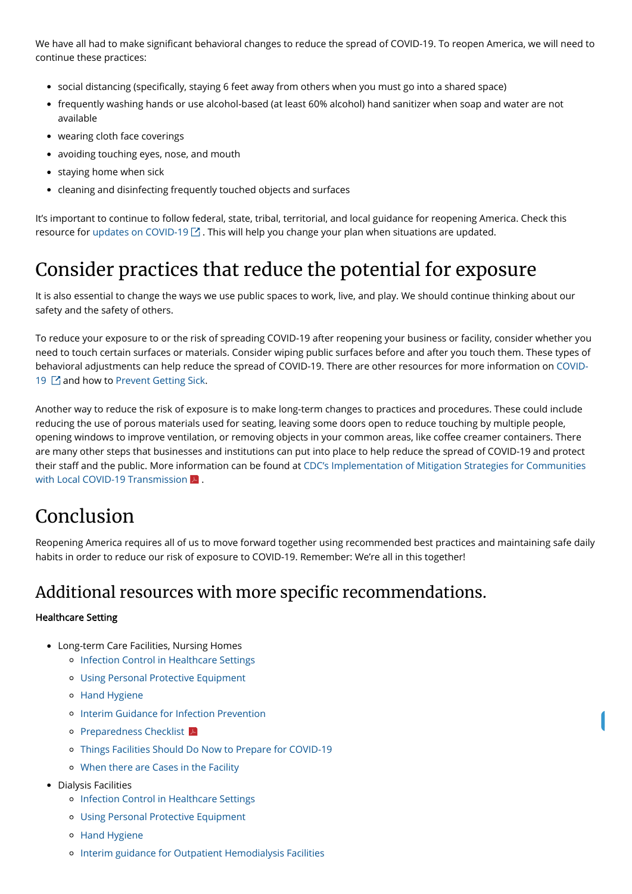We have all had to make significant behavioral changes to reduce the spread of COVID-19. To reopen America, we will need to continue these practices:

- social distancing (specifically, staying 6 feet away from others when you must go into a shared space)
- frequently washing hands or use alcohol-based (at least 60% alcohol) hand sanitizer when soap and water are not available
- wearing cloth face coverings
- avoiding touching eyes, nose, and mouth
- staying home when sick
- cleaning and disinfecting frequently touched objects and surfaces

It's important to continue to follow federal, state, tribal, territorial, and local guidance for reopening America. Check this resource for [updates on COVID-19](https://www.coronavirus.gov/)  $\boxtimes$  . This will help you change your plan when situations are updated.

To reduce your exposure to or the risk of spreading COVID-19 after reopening your business or facility, consider whether you need to touch certain surfaces or materials. Consider wiping public surfaces before and after you touch them. These types of [behavioral adjustments can help reduce the spread of COVID-19. There are other resources for more information on COVID-](https://www.coronavirus.gov/)19  $\boxtimes$  and how to [Prevent Getting Sick](https://www.cdc.gov/coronavirus/2019-ncov/prevent-getting-sick/index.html).

Another way to reduce the risk of exposure is to make long-term changes to practices and procedures. These could include reducing the use of porous materials used for seating, leaving some doors open to reduce touching by multiple people, opening windows to improve ventilation, or removing objects in your common areas, like coffee creamer containers. There are many other steps that businesses and institutions can put into place to help reduce the spread of COVID-19 and protect their staff and the public. More information can be found at CDC's Implementation of Mitigation Strategies for Communities with Local COVID-19 Transmission  $\blacktriangleright$  .

## Consider practices that reduce the potential for exposure

It is also essential to change the ways we use public spaces to work, live, and play. We should continue thinking about our safety and the safety of others.

- Long-term Care Facilities, Nursing Homes
	- o [Infection Control in Healthcare Settings](https://www.cdc.gov/coronavirus/2019-ncov/hcp/infection-control-recommendations.html)
	- [Using Personal Protective Equipment](https://www.cdc.gov/coronavirus/2019-ncov/hcp/using-ppe.html)
	- [Hand Hygiene](https://www.cdc.gov/coronavirus/2019-ncov/hcp/hand-hygiene.html)
	- o [Interim Guidance for Infection Prevention](https://www.cdc.gov/coronavirus/2019-ncov/hcp/long-term-care.html#interim-guidance)
	- **[Preparedness Checklist](https://www.cdc.gov/coronavirus/2019-ncov/downloads/novel-coronavirus-2019-Nursing-Homes-Preparedness-Checklist_3_13.pdf)**
	- [Things Facilities Should Do Now to Prepare for COVID-19](https://www.cdc.gov/coronavirus/2019-ncov/hcp/long-term-care.html#facilities-should-do)
	- [When there are Cases in the Facility](https://www.cdc.gov/coronavirus/2019-ncov/hcp/long-term-care.html#cases-in-facility)
- Dialysis Facilities
	- o [Infection Control in Healthcare Settings](https://www.cdc.gov/coronavirus/2019-ncov/hcp/infection-control-recommendations.html)
	- [Using Personal Protective Equipment](https://www.cdc.gov/coronavirus/2019-ncov/hcp/using-ppe.html)
	- [Hand Hygiene](https://www.cdc.gov/coronavirus/2019-ncov/hcp/hand-hygiene.html)
	- o [Interim guidance for Outpatient Hemodialysis Facilities](https://www.cdc.gov/coronavirus/2019-ncov/hcp/dialysis.html)

## Conclusion

Reopening America requires all of us to move forward together using recommended best practices and maintaining safe daily habits in order to reduce our risk of exposure to COVID-19. Remember: We're all in this together!

### Additional resources with more specific recommendations.

#### Healthcare Setting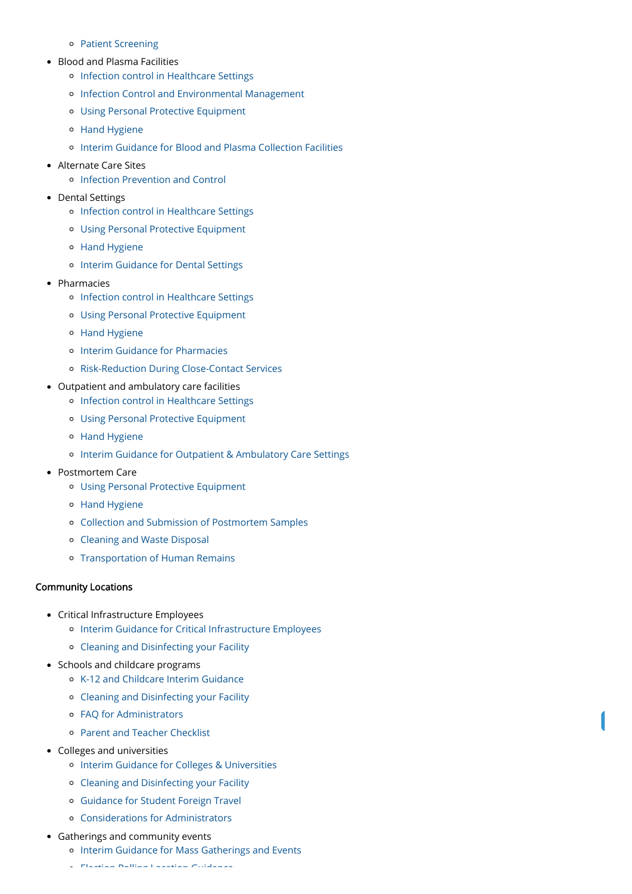- [Patient Screening](https://www.cdc.gov/coronavirus/2019-ncov/hcp/dialysis/screening.html)
- Blood and Plasma Facilities
	- o [Infection control in Healthcare Settings](https://www.cdc.gov/coronavirus/2019-ncov/hcp/infection-control-recommendations.html)
	- o [Infection Control and Environmental Management](https://www.cdc.gov/coronavirus/2019-ncov/hcp/blood-and-plasma-collection.html#anchor_1584810016246)
	- [Using Personal Protective Equipment](https://www.cdc.gov/coronavirus/2019-ncov/hcp/using-ppe.html)
	- [Hand Hygiene](https://www.cdc.gov/coronavirus/2019-ncov/hcp/hand-hygiene.html)
	- [Interim Guidance for Blood and Plasma Collection Facilities](https://www.cdc.gov/coronavirus/2019-ncov/hcp/blood-and-plasma-collection.html)
- Alternate Care Sites
	- [Infection Prevention and Control](https://www.cdc.gov/coronavirus/2019-ncov/hcp/alternative-care-sites.html)
- Dental Settings
	- o [Infection control in Healthcare Settings](https://www.cdc.gov/coronavirus/2019-ncov/hcp/infection-control-recommendations.html)
	- [Using Personal Protective Equipment](https://www.cdc.gov/coronavirus/2019-ncov/hcp/using-ppe.html)
	- [Hand Hygiene](https://www.cdc.gov/coronavirus/2019-ncov/hcp/hand-hygiene.html)
	- o [Interim Guidance for Dental Settings](https://www.cdc.gov/coronavirus/2019-ncov/hcp/dental-settings.html)
- Pharmacies
	- o [Infection control in Healthcare Settings](https://www.cdc.gov/coronavirus/2019-ncov/hcp/infection-control-recommendations.html)
	- [Using Personal Protective Equipment](https://www.cdc.gov/coronavirus/2019-ncov/hcp/using-ppe.html)
	- [Hand Hygiene](https://www.cdc.gov/coronavirus/2019-ncov/hcp/hand-hygiene.html)
	- o [Interim Guidance for Pharmacies](https://www.cdc.gov/coronavirus/2019-ncov/hcp/pharmacies.html)
	- [Risk-Reduction During Close-Contact Services](https://www.cdc.gov/coronavirus/2019-ncov/hcp/pharmacies.html#Testing)
- Outpatient and ambulatory care facilities
	- o [Infection control in Healthcare Settings](https://www.cdc.gov/coronavirus/2019-ncov/hcp/infection-control-recommendations.html)
	- [Using Personal Protective Equipment](https://www.cdc.gov/coronavirus/2019-ncov/hcp/using-ppe.html)
	- [Hand Hygiene](https://www.cdc.gov/coronavirus/2019-ncov/hcp/hand-hygiene.html)
	- [Interim Guidance for Outpatient & Ambulatory Care Settings](https://www.cdc.gov/coronavirus/2019-ncov/hcp/ambulatory-care-settings.html)
- Postmortem Care
	- [Using Personal Protective Equipment](https://www.cdc.gov/coronavirus/2019-ncov/hcp/using-ppe.html)
	- [Hand Hygiene](https://www.cdc.gov/coronavirus/2019-ncov/hcp/hand-hygiene.html)
	- [Collection and Submission of Postmortem Samples](https://www.cdc.gov/coronavirus/2019-ncov/hcp/guidance-postmortem-specimens.html)
	- [Cleaning and Waste Disposal](https://www.cdc.gov/coronavirus/2019-ncov/hcp/guidance-postmortem-specimens.html#waste-disposal)
	- [Transportation of Human Remains](https://www.cdc.gov/coronavirus/2019-ncov/hcp/guidance-postmortem-specimens.html#human-remains)

- Critical Infrastructure Employees
	- o [Interim Guidance for Critical Infrastructure Employees](https://www.cdc.gov/coronavirus/2019-ncov/community/critical-workers/implementing-safety-practices.html)
	- [Cleaning and Disinfecting your Facility](https://www.cdc.gov/coronavirus/2019-ncov/community/disinfecting-building-facility.html)
- Schools and childcare programs
	- [K-12 and Childcare Interim Guidance](https://www.cdc.gov/coronavirus/2019-ncov/community/schools-childcare/guidance-for-schools.html)
	- [Cleaning and Disinfecting your Facility](https://www.cdc.gov/coronavirus/2019-ncov/community/disinfecting-building-facility.html)
	- [FAQ for Administrators](https://www.cdc.gov/coronavirus/2019-ncov/community/schools-childcare/schools-faq.html)
	- [Parent and Teacher Checklist](https://www.cdc.gov/coronavirus/2019-ncov/community/schools-childcare/checklist.html)
- Colleges and universities
	- [Interim Guidance for Colleges & Universities](https://www.cdc.gov/coronavirus/2019-ncov/community/guidance-ihe-response.html)
	- [Cleaning and Disinfecting your Facility](https://www.cdc.gov/coronavirus/2019-ncov/community/disinfecting-building-facility.html)
	- [Guidance for Student Foreign Travel](https://www.cdc.gov/coronavirus/2019-ncov/community/student-foreign-travel.html)
	- [Considerations for Administrators](https://www.cdc.gov/coronavirus/2019-ncov/community/colleges-universities/considerations.html)
- Gatherings and community events
	- o [Interim Guidance for Mass Gatherings and Events](https://www.cdc.gov/coronavirus/2019-ncov/community/large-events/index.html)
	- $\mathcal{L}$  . Hence,  $\mathcal{L}$  is the continuous continuous continuous continuous continuous continuous continuous continuous continuous continuous continuous continuous continuous continuous continuous continuous continuous

#### Community Locations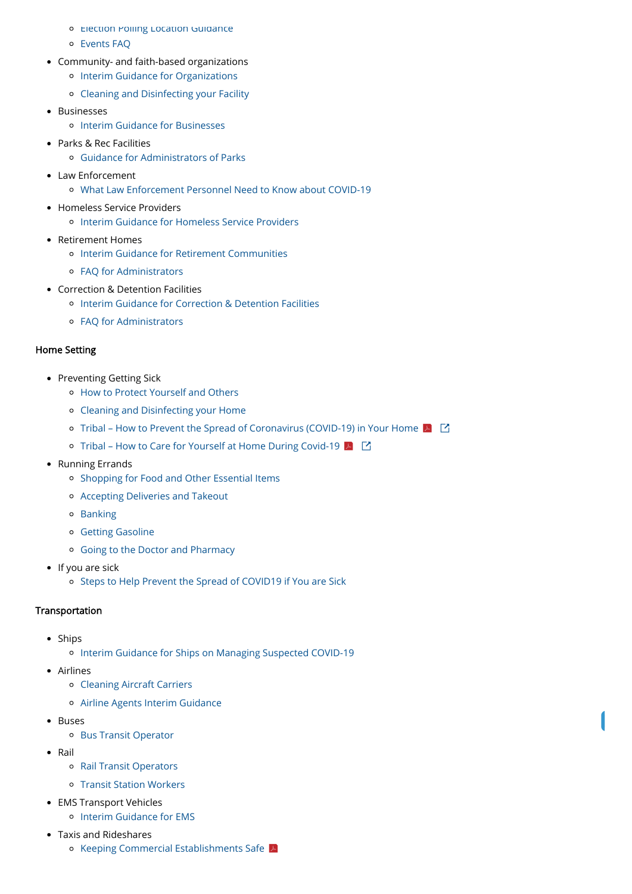- **PELECTION POILING LOCATION GUIDANCE**
- [Events FAQ](https://www.cdc.gov/coronavirus/2019-ncov/community/large-events/event-planners-and-attendees-faq.html)
- Community- and faith-based organizations
	- o [Interim Guidance for Organizations](https://www.cdc.gov/coronavirus/2019-ncov/community/organizations/guidance-community-faith-organizations.html)
	- [Cleaning and Disinfecting your Facility](https://www.cdc.gov/coronavirus/2019-ncov/community/disinfecting-building-facility.html)
- Businesses
	- [Interim Guidance for Businesses](https://www.cdc.gov/coronavirus/2019-ncov/community/guidance-business-response.html)
- Parks & Rec Facilities
	- [Guidance for Administrators of Parks](https://www.cdc.gov/coronavirus/2019-ncov/community/parks-rec/park-administrators.html)
- Law Enforcement
	- [What Law Enforcement Personnel Need to Know about COVID-19](https://www.cdc.gov/coronavirus/2019-ncov/community/guidance-law-enforcement.html)
- Homeless Service Providers
	- [Interim Guidance for Homeless Service Providers](https://www.cdc.gov/coronavirus/2019-ncov/community/homeless-shelters/plan-prepare-respond.html)
- Retirement Homes
	- o [Interim Guidance for Retirement Communities](https://www.cdc.gov/coronavirus/2019-ncov/community/retirement/guidance-retirement-response.html)
	- [FAQ for Administrators](https://www.cdc.gov/coronavirus/2019-ncov/community/retirement/faq.html)
- Correction & Detention Facilities
	- [Interim Guidance for Correction & Detention Facilities](https://www.cdc.gov/coronavirus/2019-ncov/community/correction-detention/guidance-correctional-detention.html)
	- [FAQ for Administrators](https://www.cdc.gov/coronavirus/2019-ncov/community/correction-detention/faq.html)

- Ships
	- o [Interim Guidance for Ships on Managing Suspected COVID-19](https://www.cdc.gov/quarantine/maritime/recommendations-for-ships.html)
- Airlines

- [Airline Agents Interim Guidance](https://www.cdc.gov/coronavirus/2019-ncov/community/airport-customer-factsheet.html)
- Buses
	- [Bus Transit Operator](https://www.cdc.gov/coronavirus/2019-ncov/community/organizations/bus-transit-operator.html)
- Rail
	- [Rail Transit Operators](https://www.cdc.gov/coronavirus/2019-ncov/community/organizations/rail-transit-operator.html)
	- [Transit Station Workers](https://www.cdc.gov/coronavirus/2019-ncov/community/organizations/transit-station-workers.html)
- EMS Transport Vehicles
	- o [Interim Guidance for EMS](https://www.cdc.gov/coronavirus/2019-ncov/hcp/guidance-for-ems.html)
- Taxis and Rideshares
	- [Keeping Commercial Establishments Safe](https://www.cdc.gov/coronavirus/2019-ncov/downloads/workplace-school-and-home-guidance.pdf)

#### Home Setting

- Preventing Getting Sick
	- [How to Protect Yourself and Others](https://www.cdc.gov/coronavirus/2019-ncov/prevent-getting-sick/prevention.html)
	- [Cleaning and Disinfecting your Home](https://www.cdc.gov/coronavirus/2019-ncov/prevent-getting-sick/disinfecting-your-home.html)
	- [Tribal How to Prevent the Spread of Coronavirus \(COVID-19\) in Your Home](http://caih.jhu.edu/assets/documents/COVID-19_prevent_spread.pdf)  $|\mathcal{A}|$   $|\mathcal{C}|$
	- [Tribal How to Care for Yourself at Home During Covid-19](http://caih.jhu.edu/assets/documents/COVID-19_caring_for_someone_at_home_JHUonly_2pages.pdf)  $\blacktriangleright$   $\Box$
- Running Errands
	- o [Shopping for Food and Other Essential Items](https://www.cdc.gov/coronavirus/2019-ncov/daily-life-coping/essential-goods-services.html)
	- [Accepting Deliveries and Takeout](https://www.cdc.gov/coronavirus/2019-ncov/daily-life-coping/essential-goods-services.html)
	- o [Banking](https://www.cdc.gov/coronavirus/2019-ncov/daily-life-coping/essential-goods-services.html)
	- [Getting Gasoline](https://www.cdc.gov/coronavirus/2019-ncov/daily-life-coping/essential-goods-services.html)
	- [Going to the Doctor and Pharmacy](https://www.cdc.gov/coronavirus/2019-ncov/daily-life-coping/essential-goods-services.html)
- $\bullet$  If you are sick
	- o [Steps to Help Prevent the Spread of COVID19 if You are Sick](https://www.cdc.gov/coronavirus/2019-ncov/if-you-are-sick/steps-when-sick.html)

#### Transportation

[Cleaning Aircraft Carriers](https://www.cdc.gov/quarantine/air/managing-sick-travelers/ncov-airlines.html)